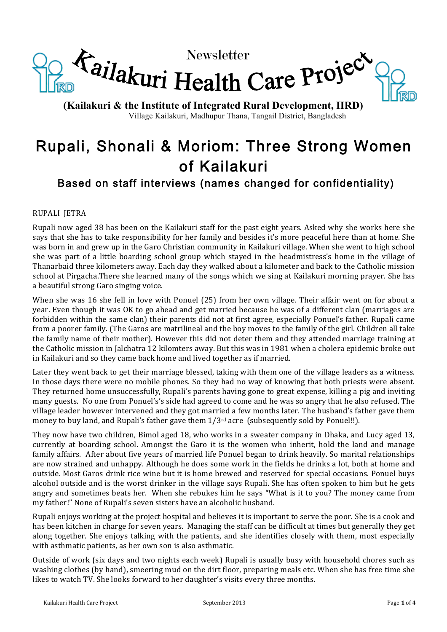

**(Kailakuri & the Institute of Integrated Rural Development, IIRD)** Village Kailakuri, Madhupur Thana, Tangail District, Bangladesh

# Rupali, Shonali & Moriom: Three Strong Women of Kailakuri

# Based on staff interviews (names changed for confidentiality)

## RUPALI IETRA

Rupali now aged 38 has been on the Kailakuri staff for the past eight years. Asked why she works here she says that she has to take responsibility for her family and besides it's more peaceful here than at home. She was born in and grew up in the Garo Christian community in Kailakuri village. When she went to high school she was part of a little boarding school group which stayed in the headmistress's home in the village of Thanarbaid three kilometers away. Each day they walked about a kilometer and back to the Catholic mission school at Pirgacha.There she learned many of the songs which we sing at Kailakuri morning prayer. She has a beautiful strong Garo singing voice.

When she was 16 she fell in love with Ponuel (25) from her own village. Their affair went on for about a year. Even though it was OK to go ahead and get married because he was of a different clan (marriages are forbidden within the same clan) their parents did not at first agree, especially Ponuel's father. Rupali came from a poorer family. (The Garos are matrilineal and the boy moves to the family of the girl. Children all take the family name of their mother). However this did not deter them and they attended marriage training at the Catholic mission in Jalchatra 12 kilomters away. But this was in 1981 when a cholera epidemic broke out in Kailakuri and so they came back home and lived together as if married.

Later they went back to get their marriage blessed, taking with them one of the village leaders as a witness. In those days there were no mobile phones. So they had no way of knowing that both priests were absent. They returned home unsuccessfully, Rupali's parents having gone to great expense, killing a pig and inviting many guests. No one from Ponuel's's side had agreed to come and he was so angry that he also refused. The village leader however intervened and they got married a few months later. The husband's father gave them money to buy land, and Rupali's father gave them  $1/3^{rd}$  acre (subsequently sold by Ponuel!!).

They now have two children, Bimol aged 18, who works in a sweater company in Dhaka, and Lucy aged 13, currently at boarding school. Amongst the Garo it is the women who inherit, hold the land and manage family affairs. After about five years of married life Ponuel began to drink heavily. So marital relationships are now strained and unhappy. Although he does some work in the fields he drinks a lot, both at home and outside. Most Garos drink rice wine but it is home brewed and reserved for special occasions. Ponuel buys alcohol outside and is the worst drinker in the village says Rupali. She has often spoken to him but he gets angry and sometimes beats her. When she rebukes him he says "What is it to you? The money came from my father!" None of Rupali's seven sisters have an alcoholic husband.

Rupali enjoys working at the project hospital and believes it is important to serve the poor. She is a cook and has been kitchen in charge for seven years. Managing the staff can be difficult at times but generally they get along together. She enjoys talking with the patients, and she identifies closely with them, most especially with asthmatic patients, as her own son is also asthmatic.

Outside of work (six days and two nights each week) Rupali is usually busy with household chores such as washing clothes (by hand), smeering mud on the dirt floor, preparing meals etc. When she has free time she likes to watch TV. She looks forward to her daughter's visits every three months.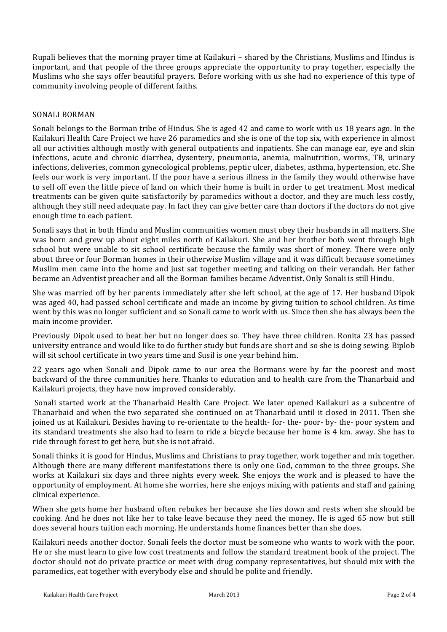Rupali believes that the morning prayer time at Kailakuri – shared by the Christians, Muslims and Hindus is important, and that people of the three groups appreciate the opportunity to pray together, especially the Muslims who she says offer beautiful prayers. Before working with us she had no experience of this type of community involving people of different faiths.

#### SONALI BORMAN

Sonali belongs to the Borman tribe of Hindus. She is aged 42 and came to work with us 18 years ago. In the Kailakuri Health Care Project we have 26 paramedics and she is one of the top six, with experience in almost all our activities although mostly with general outpatients and inpatients. She can manage ear, eye and skin infections, acute and chronic diarrhea, dysentery, pneumonia, anemia, malnutrition, worms, TB, urinary infections, deliveries, common gynecological problems, peptic ulcer, diabetes, asthma, hypertension, etc. She feels our work is very important. If the poor have a serious illness in the family they would otherwise have to sell off even the little piece of land on which their home is built in order to get treatment. Most medical treatments can be given quite satisfactorily by paramedics without a doctor, and they are much less costly, although they still need adequate pay. In fact they can give better care than doctors if the doctors do not give enough time to each patient.

Sonali says that in both Hindu and Muslim communities women must obey their husbands in all matters. She was born and grew up about eight miles north of Kailakuri. She and her brother both went through high school but were unable to sit school certificate because the family was short of money. There were only about three or four Borman homes in their otherwise Muslim village and it was difficult because sometimes Muslim men came into the home and just sat together meeting and talking on their verandah. Her father became an Adventist preacher and all the Borman families became Adventist. Only Sonali is still Hindu.

She was married off by her parents immediately after she left school, at the age of 17. Her husband Dipok was aged 40, had passed school certificate and made an income by giving tuition to school children. As time went by this was no longer sufficient and so Sonali came to work with us. Since then she has always been the main income provider.

Previously Dipok used to beat her but no longer does so. They have three children. Ronita 23 has passed university entrance and would like to do further study but funds are short and so she is doing sewing. Biplob will sit school certificate in two years time and Susil is one year behind him.

22 years ago when Sonali and Dipok came to our area the Bormans were by far the poorest and most backward of the three communities here. Thanks to education and to health care from the Thanarbaid and Kailakuri projects, they have now improved considerably.

Sonali started work at the Thanarbaid Health Care Project. We later opened Kailakuri as a subcentre of Thanarbaid and when the two separated she continued on at Thanarbaid until it closed in 2011. Then she joined us at Kailakuri. Besides having to re-orientate to the health- for- the- poor- by- the- poor system and its standard treatments she also had to learn to ride a bicycle because her home is 4 km. away. She has to ride through forest to get here, but she is not afraid.

Sonali thinks it is good for Hindus, Muslims and Christians to pray together, work together and mix together. Although there are many different manifestations there is only one God, common to the three groups. She works at Kailakuri six days and three nights every week. She enjoys the work and is pleased to have the opportunity of employment. At home she worries, here she enjoys mixing with patients and staff and gaining clinical experience.

When she gets home her husband often rebukes her because she lies down and rests when she should be cooking. And he does not like her to take leave because they need the money. He is aged 65 now but still does several hours tuition each morning. He understands home finances better than she does.

Kailakuri needs another doctor. Sonali feels the doctor must be someone who wants to work with the poor. He or she must learn to give low cost treatments and follow the standard treatment book of the project. The doctor should not do private practice or meet with drug company representatives, but should mix with the paramedics, eat together with everybody else and should be polite and friendly.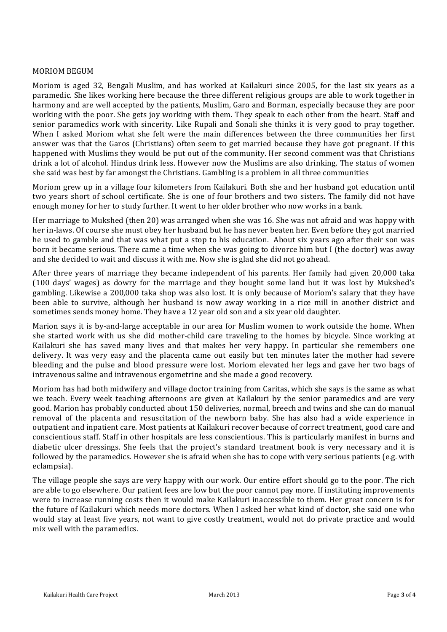#### **MORIOM BEGUM**

Moriom is aged 32, Bengali Muslim, and has worked at Kailakuri since 2005, for the last six years as a paramedic. She likes working here because the three different religious groups are able to work together in harmony and are well accepted by the patients, Muslim, Garo and Borman, especially because they are poor working with the poor. She gets joy working with them. They speak to each other from the heart. Staff and senior paramedics work with sincerity. Like Rupali and Sonali she thinks it is very good to pray together. When I asked Moriom what she felt were the main differences between the three communities her first answer was that the Garos (Christians) often seem to get married because they have got pregnant. If this happened with Muslims they would be put out of the community. Her second comment was that Christians drink a lot of alcohol. Hindus drink less. However now the Muslims are also drinking. The status of women she said was best by far amongst the Christians. Gambling is a problem in all three communities

Moriom grew up in a village four kilometers from Kailakuri. Both she and her husband got education until two years short of school certificate. She is one of four brothers and two sisters. The family did not have enough money for her to study further. It went to her older brother who now works in a bank.

Her marriage to Mukshed (then 20) was arranged when she was 16. She was not afraid and was happy with her in-laws. Of course she must obey her husband but he has never beaten her. Even before they got married he used to gamble and that was what put a stop to his education. About six years ago after their son was born it became serious. There came a time when she was going to divorce him but I (the doctor) was away and she decided to wait and discuss it with me. Now she is glad she did not go ahead.

After three years of marriage they became independent of his parents. Her family had given 20,000 taka (100 days' wages) as dowry for the marriage and they bought some land but it was lost by Mukshed's gambling. Likewise a 200,000 taka shop was also lost. It is only because of Moriom's salary that they have been able to survive, although her husband is now away working in a rice mill in another district and sometimes sends money home. They have a 12 year old son and a six year old daughter.

Marion says it is by-and-large acceptable in our area for Muslim women to work outside the home. When she started work with us she did mother-child care traveling to the homes by bicycle. Since working at Kailakuri she has saved many lives and that makes her very happy. In particular she remembers one delivery. It was very easy and the placenta came out easily but ten minutes later the mother had severe bleeding and the pulse and blood pressure were lost. Moriom elevated her legs and gave her two bags of intravenous saline and intravenous ergometrine and she made a good recovery.

Moriom has had both midwifery and village doctor training from Caritas, which she says is the same as what we teach. Every week teaching afternoons are given at Kailakuri by the senior paramedics and are very good. Marion has probably conducted about 150 deliveries, normal, breech and twins and she can do manual removal of the placenta and resuscitation of the newborn baby. She has also had a wide experience in outpatient and inpatient care. Most patients at Kailakuri recover because of correct treatment, good care and conscientious staff. Staff in other hospitals are less conscientious. This is particularly manifest in burns and diabetic ulcer dressings. She feels that the project's standard treatment book is very necessary and it is followed by the paramedics. However she is afraid when she has to cope with very serious patients (e.g. with eclampsia).

The village people she says are very happy with our work. Our entire effort should go to the poor. The rich are able to go elsewhere. Our patient fees are low but the poor cannot pay more. If instituting improvements were to increase running costs then it would make Kailakuri inaccessible to them. Her great concern is for the future of Kailakuri which needs more doctors. When I asked her what kind of doctor, she said one who would stay at least five years, not want to give costly treatment, would not do private practice and would mix well with the paramedics.